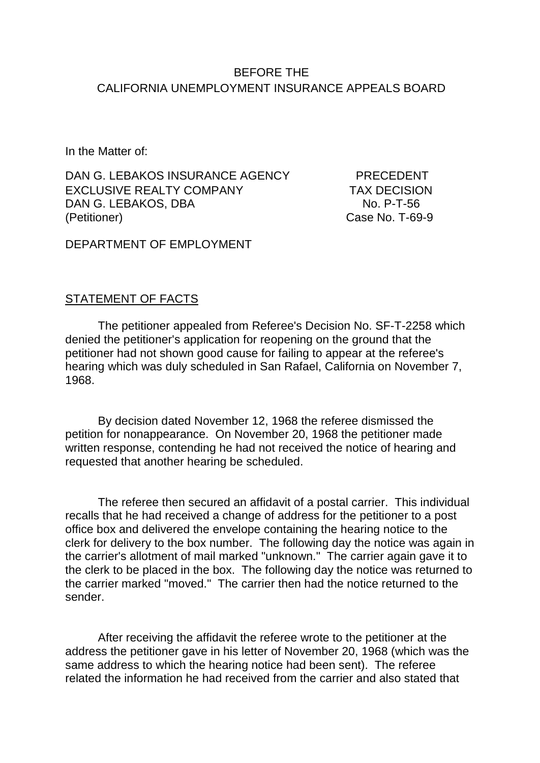## BEFORE THE CALIFORNIA UNEMPLOYMENT INSURANCE APPEALS BOARD

In the Matter of:

DAN G. LEBAKOS INSURANCE AGENCY PRECEDENT EXCLUSIVE REALTY COMPANY TAX DECISION DAN G. LEBAKOS, DBA NO. P-T-56 (Petitioner) Case No. T-69-9

DEPARTMENT OF EMPLOYMENT

#### STATEMENT OF FACTS

The petitioner appealed from Referee's Decision No. SF-T-2258 which denied the petitioner's application for reopening on the ground that the petitioner had not shown good cause for failing to appear at the referee's hearing which was duly scheduled in San Rafael, California on November 7, 1968.

By decision dated November 12, 1968 the referee dismissed the petition for nonappearance. On November 20, 1968 the petitioner made written response, contending he had not received the notice of hearing and requested that another hearing be scheduled.

The referee then secured an affidavit of a postal carrier. This individual recalls that he had received a change of address for the petitioner to a post office box and delivered the envelope containing the hearing notice to the clerk for delivery to the box number. The following day the notice was again in the carrier's allotment of mail marked "unknown." The carrier again gave it to the clerk to be placed in the box. The following day the notice was returned to the carrier marked "moved." The carrier then had the notice returned to the sender.

After receiving the affidavit the referee wrote to the petitioner at the address the petitioner gave in his letter of November 20, 1968 (which was the same address to which the hearing notice had been sent). The referee related the information he had received from the carrier and also stated that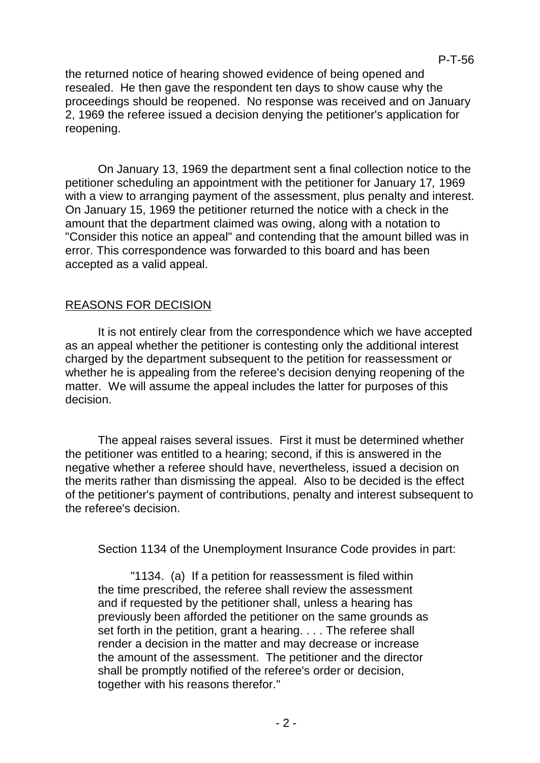the returned notice of hearing showed evidence of being opened and resealed. He then gave the respondent ten days to show cause why the proceedings should be reopened. No response was received and on January 2, 1969 the referee issued a decision denying the petitioner's application for reopening.

On January 13, 1969 the department sent a final collection notice to the petitioner scheduling an appointment with the petitioner for January 17*,* 1969 with a view to arranging payment of the assessment, plus penalty and interest. On January 15, 1969 the petitioner returned the notice with a check in the amount that the department claimed was owing, along with a notation to "Consider this notice an appeal" and contending that the amount billed was in error. This correspondence was forwarded to this board and has been accepted as a valid appeal.

## REASONS FOR DECISION

It is not entirely clear from the correspondence which we have accepted as an appeal whether the petitioner is contesting only the additional interest charged by the department subsequent to the petition for reassessment or whether he is appealing from the referee's decision denying reopening of the matter. We will assume the appeal includes the latter for purposes of this decision.

The appeal raises several issues. First it must be determined whether the petitioner was entitled to a hearing; second, if this is answered in the negative whether a referee should have, nevertheless, issued a decision on the merits rather than dismissing the appeal. Also to be decided is the effect of the petitioner's payment of contributions, penalty and interest subsequent to the referee's decision.

Section 1134 of the Unemployment Insurance Code provides in part:

"1134. (a) If a petition for reassessment is filed within the time prescribed, the referee shall review the assessment and if requested by the petitioner shall, unless a hearing has previously been afforded the petitioner on the same grounds as set forth in the petition, grant a hearing. . . . The referee shall render a decision in the matter and may decrease or increase the amount of the assessment. The petitioner and the director shall be promptly notified of the referee's order or decision, together with his reasons therefor."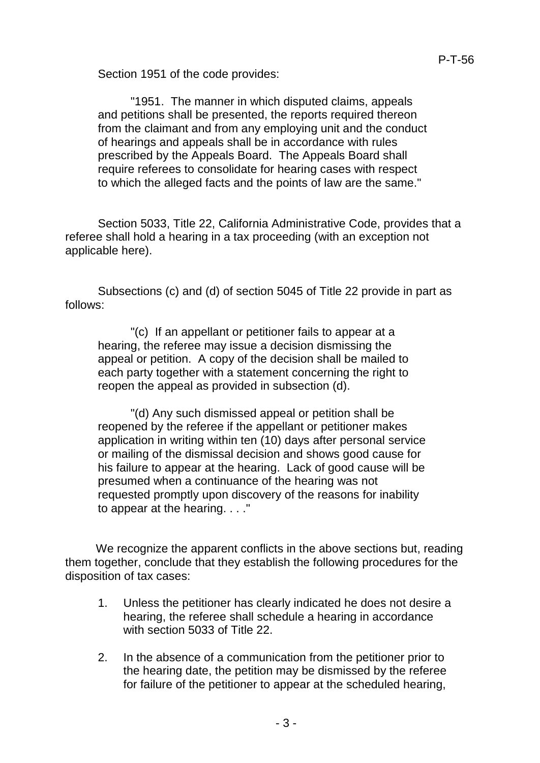Section 1951 of the code provides:

"1951. The manner in which disputed claims, appeals and petitions shall be presented, the reports required thereon from the claimant and from any employing unit and the conduct of hearings and appeals shall be in accordance with rules prescribed by the Appeals Board. The Appeals Board shall require referees to consolidate for hearing cases with respect to which the alleged facts and the points of law are the same."

Section 5033, Title 22, California Administrative Code, provides that a referee shall hold a hearing in a tax proceeding (with an exception not applicable here).

Subsections (c) and (d) of section 5045 of Title 22 provide in part as follows:

"(c) If an appellant or petitioner fails to appear at a hearing, the referee may issue a decision dismissing the appeal or petition. A copy of the decision shall be mailed to each party together with a statement concerning the right to reopen the appeal as provided in subsection (d).

"(d) Any such dismissed appeal or petition shall be reopened by the referee if the appellant or petitioner makes application in writing within ten (10) days after personal service or mailing of the dismissal decision and shows good cause for his failure to appear at the hearing. Lack of good cause will be presumed when a continuance of the hearing was not requested promptly upon discovery of the reasons for inability to appear at the hearing. . . ."

We recognize the apparent conflicts in the above sections but, reading them together, conclude that they establish the following procedures for the disposition of tax cases:

- 1. Unless the petitioner has clearly indicated he does not desire a hearing, the referee shall schedule a hearing in accordance with section 5033 of Title 22.
- 2. In the absence of a communication from the petitioner prior to the hearing date, the petition may be dismissed by the referee for failure of the petitioner to appear at the scheduled hearing,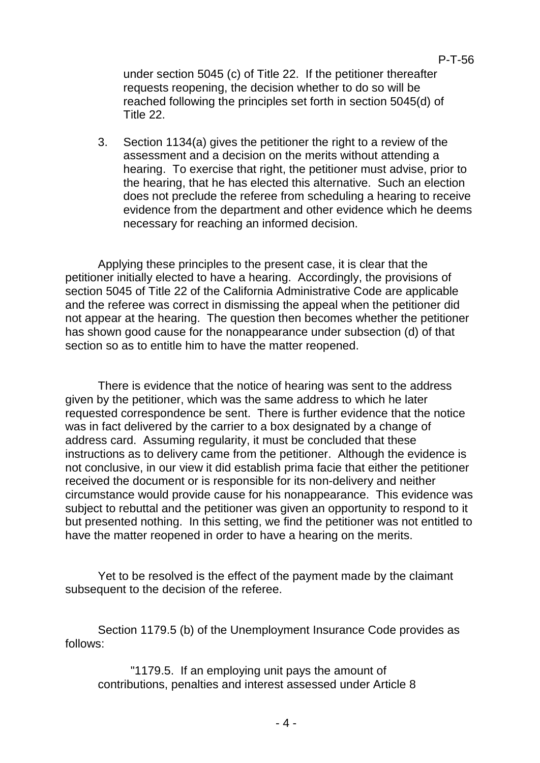under section 5045 (c) of Title 22. If the petitioner thereafter requests reopening, the decision whether to do so will be reached following the principles set forth in section 5045(d) of Title 22.

P-T-56

3. Section 1134(a) gives the petitioner the right to a review of the assessment and a decision on the merits without attending a hearing. To exercise that right, the petitioner must advise, prior to the hearing, that he has elected this alternative. Such an election does not preclude the referee from scheduling a hearing to receive evidence from the department and other evidence which he deems necessary for reaching an informed decision.

Applying these principles to the present case, it is clear that the petitioner initially elected to have a hearing. Accordingly, the provisions of section 5045 of Title 22 of the California Administrative Code are applicable and the referee was correct in dismissing the appeal when the petitioner did not appear at the hearing. The question then becomes whether the petitioner has shown good cause for the nonappearance under subsection (d) of that section so as to entitle him to have the matter reopened.

There is evidence that the notice of hearing was sent to the address given by the petitioner, which was the same address to which he later requested correspondence be sent. There is further evidence that the notice was in fact delivered by the carrier to a box designated by a change of address card. Assuming regularity, it must be concluded that these instructions as to delivery came from the petitioner. Although the evidence is not conclusive, in our view it did establish prima facie that either the petitioner received the document or is responsible for its non-delivery and neither circumstance would provide cause for his nonappearance. This evidence was subject to rebuttal and the petitioner was given an opportunity to respond to it but presented nothing. In this setting, we find the petitioner was not entitled to have the matter reopened in order to have a hearing on the merits.

Yet to be resolved is the effect of the payment made by the claimant subsequent to the decision of the referee.

Section 1179.5 (b) of the Unemployment Insurance Code provides as follows:

"1179.5. If an employing unit pays the amount of contributions, penalties and interest assessed under Article 8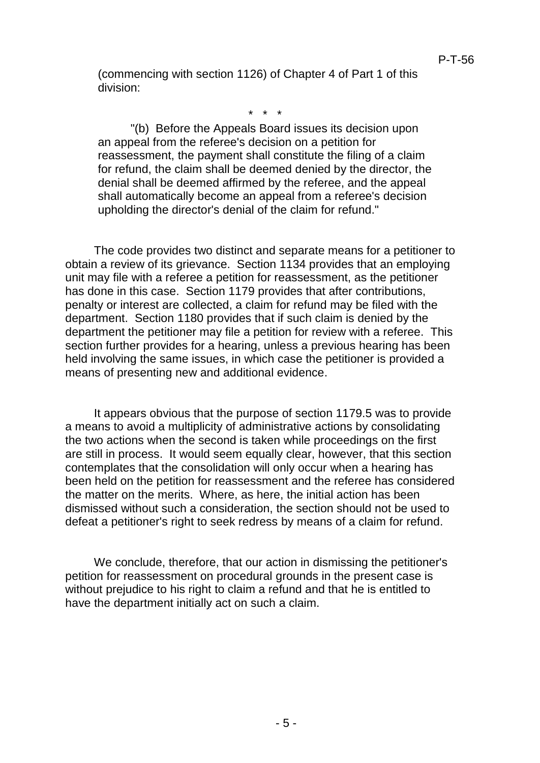(commencing with section 1126) of Chapter 4 of Part 1 of this division:

\* \* \*

"(b) Before the Appeals Board issues its decision upon an appeal from the referee's decision on a petition for reassessment, the payment shall constitute the filing of a claim for refund, the claim shall be deemed denied by the director, the denial shall be deemed affirmed by the referee, and the appeal shall automatically become an appeal from a referee's decision upholding the director's denial of the claim for refund."

The code provides two distinct and separate means for a petitioner to obtain a review of its grievance. Section 1134 provides that an employing unit may file with a referee a petition for reassessment, as the petitioner has done in this case. Section 1179 provides that after contributions, penalty or interest are collected, a claim for refund may be filed with the department. Section 1180 provides that if such claim is denied by the department the petitioner may file a petition for review with a referee. This section further provides for a hearing, unless a previous hearing has been held involving the same issues, in which case the petitioner is provided a means of presenting new and additional evidence.

It appears obvious that the purpose of section 1179.5 was to provide a means to avoid a multiplicity of administrative actions by consolidating the two actions when the second is taken while proceedings on the first are still in process. It would seem equally clear, however, that this section contemplates that the consolidation will only occur when a hearing has been held on the petition for reassessment and the referee has considered the matter on the merits. Where, as here, the initial action has been dismissed without such a consideration, the section should not be used to defeat a petitioner's right to seek redress by means of a claim for refund.

We conclude, therefore, that our action in dismissing the petitioner's petition for reassessment on procedural grounds in the present case is without prejudice to his right to claim a refund and that he is entitled to have the department initially act on such a claim.